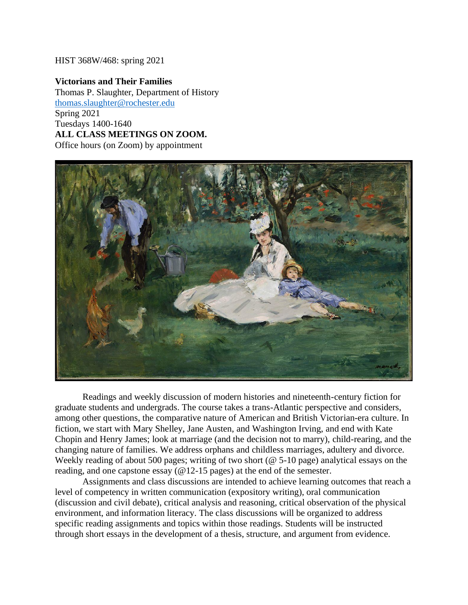#### HIST 368W/468: spring 2021

**Victorians and Their Families** Thomas P. Slaughter, Department of History [thomas.slaughter@rochester.edu](mailto:thomas.slaughter@rochester.edu) Spring 2021 Tuesdays 1400-1640 **ALL CLASS MEETINGS ON ZOOM.** Office hours (on Zoom) by appointment



Readings and weekly discussion of modern histories and nineteenth-century fiction for graduate students and undergrads. The course takes a trans-Atlantic perspective and considers, among other questions, the comparative nature of American and British Victorian-era culture. In fiction, we start with Mary Shelley, Jane Austen, and Washington Irving, and end with Kate Chopin and Henry James; look at marriage (and the decision not to marry), child-rearing, and the changing nature of families. We address orphans and childless marriages, adultery and divorce. Weekly reading of about 500 pages; writing of two short (@ 5-10 page) analytical essays on the reading, and one capstone essay (@12-15 pages) at the end of the semester.

Assignments and class discussions are intended to achieve learning outcomes that reach a level of competency in written communication (expository writing), oral communication (discussion and civil debate), critical analysis and reasoning, critical observation of the physical environment, and information literacy. The class discussions will be organized to address specific reading assignments and topics within those readings. Students will be instructed through short essays in the development of a thesis, structure, and argument from evidence.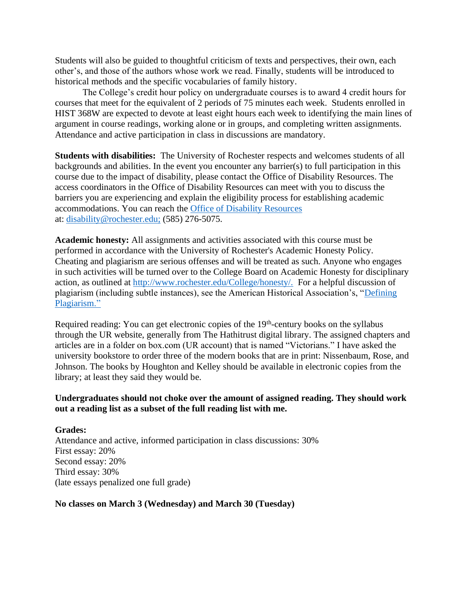Students will also be guided to thoughtful criticism of texts and perspectives, their own, each other's, and those of the authors whose work we read. Finally, students will be introduced to historical methods and the specific vocabularies of family history.

The College's credit hour policy on undergraduate courses is to award 4 credit hours for courses that meet for the equivalent of 2 periods of 75 minutes each week. Students enrolled in HIST 368W are expected to devote at least eight hours each week to identifying the main lines of argument in course readings, working alone or in groups, and completing written assignments. Attendance and active participation in class in discussions are mandatory.

**Students with disabilities:** The University of Rochester respects and welcomes students of all backgrounds and abilities. In the event you encounter any barrier(s) to full participation in this course due to the impact of disability, please contact the Office of Disability Resources. The access coordinators in the Office of Disability Resources can meet with you to discuss the barriers you are experiencing and explain the eligibility process for establishing academic accommodations. You can reach the [Office of Disability Resources](http://www.rochester.edu/college/disability/index.html) at: [disability@rochester.edu;](mailto:disability@rochester.edu;) (585) 276-5075.

**Academic honesty:** All assignments and activities associated with this course must be performed in accordance with the University of Rochester's Academic Honesty Policy. Cheating and plagiarism are serious offenses and will be treated as such. Anyone who engages in such activities will be turned over to the College Board on Academic Honesty for disciplinary action, as outlined at [http://www.rochester.edu/College/honesty/.](http://www.rochester.edu/College/honesty/) For a helpful discussion of plagiarism (including subtle instances), see the American Historical Association's, ["Defining](https://www.historians.org/teaching-and-learning/teaching-resources-for-historians/plagiarism-curricular-materials-for-history-instructors/defining-plagiarism)  [Plagiarism.](https://www.historians.org/teaching-and-learning/teaching-resources-for-historians/plagiarism-curricular-materials-for-history-instructors/defining-plagiarism)"

Required reading: You can get electronic copies of the 19<sup>th</sup>-century books on the syllabus through the UR website, generally from The Hathitrust digital library. The assigned chapters and articles are in a folder on box.com (UR account) that is named "Victorians." I have asked the university bookstore to order three of the modern books that are in print: Nissenbaum, Rose, and Johnson. The books by Houghton and Kelley should be available in electronic copies from the library; at least they said they would be.

## **Undergraduates should not choke over the amount of assigned reading. They should work out a reading list as a subset of the full reading list with me.**

**Grades:**  Attendance and active, informed participation in class discussions: 30% First essay: 20% Second essay: 20% Third essay: 30% (late essays penalized one full grade)

### **No classes on March 3 (Wednesday) and March 30 (Tuesday)**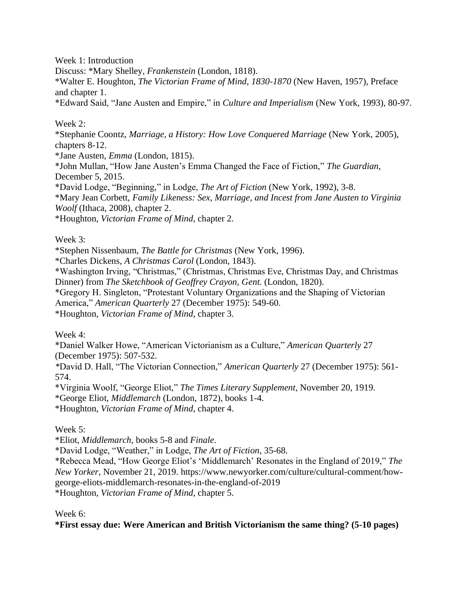Week 1: Introduction

Discuss: \*Mary Shelley, *Frankenstein* (London, 1818).

\*Walter E. Houghton, *The Victorian Frame of Mind, 1830-1870* (New Haven, 1957), Preface and chapter 1.

\*Edward Said, "Jane Austen and Empire," in *Culture and Imperialism* (New York, 1993), 80-97.

# Week 2:

\*Stephanie Coontz, *Marriage, a History: How Love Conquered Marriage* (New York, 2005), chapters 8-12.

\*Jane Austen, *Emma* (London, 1815).

\*John Mullan, "How Jane Austen's Emma Changed the Face of Fiction," *The Guardian*, December 5, 2015.

\*David Lodge, "Beginning," in Lodge, *The Art of Fiction* (New York, 1992), 3-8.

\*Mary Jean Corbett, *Family Likeness: Sex, Marriage, and Incest from Jane Austen to Virginia Woolf* (Ithaca, 2008), chapter 2.

\*Houghton, *Victorian Frame of Mind*, chapter 2.

Week 3:

\*Stephen Nissenbaum, *The Battle for Christmas* (New York, 1996).

\*Charles Dickens, *A Christmas Carol* (London, 1843).

\*Washington Irving, "Christmas," (Christmas, Christmas Eve, Christmas Day, and Christmas Dinner) from *The Sketchbook of Geoffrey Crayon, Gent.* (London, 1820).

\*Gregory H. Singleton, "Protestant Voluntary Organizations and the Shaping of Victorian America," *American Quarterly* 27 (December 1975): 549-60.

\*Houghton, *Victorian Frame of Mind*, chapter 3.

Week 4:

\*Daniel Walker Howe, "American Victorianism as a Culture," *American Quarterly* 27 (December 1975): 507-532.

*\**David D. Hall, "The Victorian Connection," *American Quarterly* 27 (December 1975): 561- 574.

\*Virginia Woolf, "George Eliot," *The Times Literary Supplement*, November 20, 1919.

\*George Eliot, *Middlemarch* (London, 1872), books 1-4.

\*Houghton, *Victorian Frame of Mind*, chapter 4.

Week 5:

\*Eliot, *Middlemarch*, books 5-8 and *Finale*.

\*David Lodge, "Weather," in Lodge, *The Art of Fiction*, 35-68.

\*Rebecca Mead, "How George Eliot's 'Middlemarch' Resonates in the England of 2019," *The New Yorker*, November 21, 2019. https://www.newyorker.com/culture/cultural-comment/howgeorge-eliots-middlemarch-resonates-in-the-england-of-2019 \*Houghton, *Victorian Frame of Mind*, chapter 5.

Week 6:

**\*First essay due: Were American and British Victorianism the same thing? (5-10 pages)**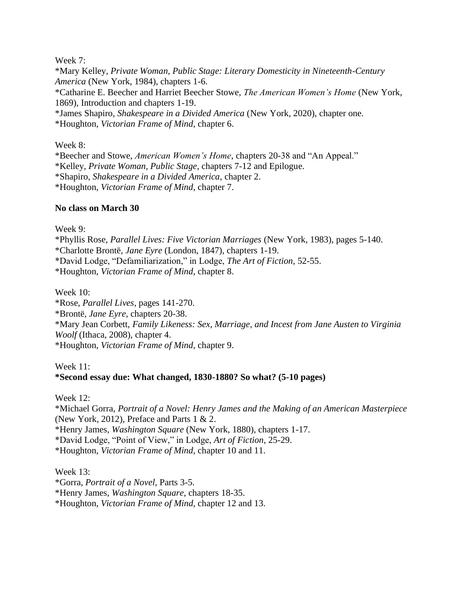Week 7:

\*Mary Kelley, *Private Woman, Public Stage: Literary Domesticity in Nineteenth-Century America* (New York, 1984), chapters 1-6. \*Catharine E. Beecher and Harriet Beecher Stowe, *The American Women's Home* (New York, 1869), Introduction and chapters 1-19. \*James Shapiro, *Shakespeare in a Divided America* (New York, 2020), chapter one. \*Houghton, *Victorian Frame of Mind*, chapter 6.

Week 8:

\*Beecher and Stowe, *American Women's Home*, chapters 20-38 and "An Appeal." \*Kelley, *Private Woman, Public Stage*, chapters 7-12 and Epilogue. \*Shapiro, *Shakespeare in a Divided America*, chapter 2. \*Houghton, *Victorian Frame of Mind*, chapter 7.

## **No class on March 30**

Week 9:

\*Phyllis Rose, *Parallel Lives: Five Victorian Marriages* (New York, 1983), pages 5-140. \*Charlotte Brontë, *Jane Eyre* (London, 1847), chapters 1-19. \*David Lodge, "Defamiliarization," in Lodge, *The Art of Fiction*, 52-55. \*Houghton, *Victorian Frame of Mind*, chapter 8.

Week 10:

\*Rose, *Parallel Lives*, pages 141-270. \*Brontë, *Jane Eyre*, chapters 20-38. \*Mary Jean Corbett, *Family Likeness: Sex, Marriage, and Incest from Jane Austen to Virginia Woolf* (Ithaca, 2008), chapter 4. \*Houghton, *Victorian Frame of Mind*, chapter 9.

## Week 11: **\*Second essay due: What changed, 1830-1880? So what? (5-10 pages)**

Week 12:

\*Michael Gorra, *Portrait of a Novel: Henry James and the Making of an American Masterpiece* (New York, 2012), Preface and Parts  $1 \& 2$ . \*Henry James, *Washington Square* (New York, 1880), chapters 1-17. \*David Lodge, "Point of View," in Lodge, *Art of Fiction*, 25-29. \*Houghton, *Victorian Frame of Mind*, chapter 10 and 11.

Week 13: \*Gorra, *Portrait of a Novel*, Parts 3-5. \*Henry James, *Washington Square*, chapters 18-35. \*Houghton, *Victorian Frame of Mind*, chapter 12 and 13.